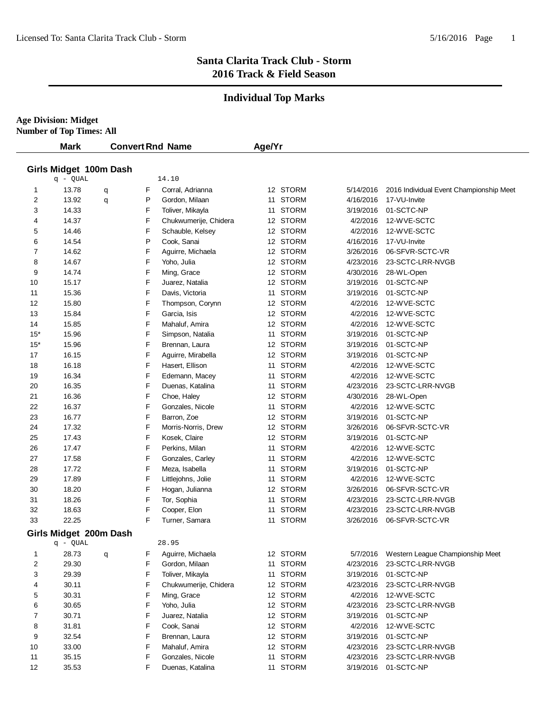# **Individual Top Marks**

**Age Division: Midget Number of Top Times: All**

| Girls Midget 100m Dash                                                       |                                         |
|------------------------------------------------------------------------------|-----------------------------------------|
|                                                                              |                                         |
| $q - QUAL$<br>14.10                                                          |                                         |
| 12 STORM<br>13.78<br>F<br>Corral, Adrianna<br>$\mathbf{1}$<br>5/14/2016<br>q | 2016 Individual Event Championship Meet |
| 11 STORM<br>2<br>13.92<br>P<br>Gordon, Milaan<br>4/16/2016<br>q              | 17-VU-Invite                            |
| F<br>11 STORM<br>3<br>14.33<br>3/19/2016<br>Toliver, Mikayla                 | 01-SCTC-NP                              |
| F<br>14.37<br>Chukwumerije, Chidera<br>12 STORM<br>4<br>4/2/2016             | 12-WVE-SCTC                             |
| F<br>12 STORM<br>5<br>14.46<br>Schauble, Kelsey<br>4/2/2016                  | 12-WVE-SCTC                             |
| P<br>Cook, Sanai<br>12 STORM<br>6<br>14.54<br>4/16/2016                      | 17-VU-Invite                            |
| F<br>12 STORM<br>7<br>14.62<br>Aguirre, Michaela<br>3/26/2016                | 06-SFVR-SCTC-VR                         |
| F<br>8<br>14.67<br>Yoho, Julia<br>12 STORM<br>4/23/2016                      | 23-SCTC-LRR-NVGB                        |
| F<br>9<br>14.74<br>Ming, Grace<br>12 STORM<br>4/30/2016                      | 28-WL-Open                              |
| F<br>15.17<br>12 STORM<br>10<br>Juarez, Natalia<br>3/19/2016                 | 01-SCTC-NP                              |
| F<br>11 STORM<br>11<br>15.36<br>Davis, Victoria<br>3/19/2016                 | 01-SCTC-NP                              |
| 15.80<br>F<br>12 STORM<br>12<br>Thompson, Corynn<br>4/2/2016                 | 12-WVE-SCTC                             |
| F<br>13<br>15.84<br>Garcia, Isis<br>12 STORM<br>4/2/2016                     | 12-WVE-SCTC                             |
| F<br>12 STORM<br>15.85<br>Mahaluf, Amira<br>4/2/2016<br>14                   | 12-WVE-SCTC                             |
| 15.96<br>F<br>11 STORM<br>$15*$<br>3/19/2016<br>Simpson, Natalia             | 01-SCTC-NP                              |
| F<br>$15*$<br>15.96<br>12 STORM<br>Brennan, Laura<br>3/19/2016               | 01-SCTC-NP                              |
| F<br>17<br>16.15<br>12 STORM<br>Aguirre, Mirabella<br>3/19/2016              | 01-SCTC-NP                              |
| F<br><b>STORM</b><br>18<br>16.18<br>Hasert, Ellison<br>4/2/2016<br>11        | 12-WVE-SCTC                             |
| F<br><b>STORM</b><br>19<br>16.34<br>Edemann, Macey<br>4/2/2016<br>11         | 12-WVE-SCTC                             |
| F<br>20<br>16.35<br>Duenas, Katalina<br>11 STORM<br>4/23/2016                | 23-SCTC-LRR-NVGB                        |
| F<br>21<br>16.36<br>Choe, Haley<br>12 STORM<br>4/30/2016                     | 28-WL-Open                              |
| F<br>22<br>16.37<br>Gonzales, Nicole<br>11 STORM<br>4/2/2016                 | 12-WVE-SCTC                             |
| F<br>12 STORM<br>23<br>16.77<br>Barron, Zoe<br>3/19/2016                     | 01-SCTC-NP                              |
| 17.32<br>F<br>12 STORM<br>24<br>3/26/2016<br>Morris-Norris, Drew             | 06-SFVR-SCTC-VR                         |
| F<br>25<br>17.43<br>12 STORM<br>Kosek, Claire<br>3/19/2016                   | 01-SCTC-NP                              |
| F<br>11 STORM<br>17.47<br>Perkins, Milan<br>26<br>4/2/2016                   | 12-WVE-SCTC                             |
| 17.58<br>F<br>11 STORM<br>27<br>Gonzales, Carley<br>4/2/2016                 | 12-WVE-SCTC                             |
| F<br>28<br>17.72<br>Meza, Isabella<br>11 STORM<br>3/19/2016                  | 01-SCTC-NP                              |
| F<br>17.89<br>11 STORM<br>29<br>Littlejohns, Jolie<br>4/2/2016               | 12-WVE-SCTC                             |
| F<br>12 STORM<br>30<br>18.20<br>Hogan, Julianna<br>3/26/2016                 | 06-SFVR-SCTC-VR                         |
| F<br><b>STORM</b><br>31<br>18.26<br>Tor, Sophia<br>4/23/2016<br>11           | 23-SCTC-LRR-NVGB                        |
| F<br><b>STORM</b><br>32<br>18.63<br>Cooper, Elon<br>4/23/2016<br>11          | 23-SCTC-LRR-NVGB                        |
| 33<br>22.25<br>F<br>Turner, Samara<br>11 STORM<br>3/26/2016                  | 06-SFVR-SCTC-VR                         |
| Girls Midget 200m Dash<br>28.95<br>q - QUAL                                  |                                         |
| 28.73<br>F<br>12 STORM<br>1<br>Aguirre, Michaela<br>5/7/2016<br>q            | Western League Championship Meet        |
| $\overline{2}$<br>29.30<br>F<br>Gordon, Milaan<br>11 STORM<br>4/23/2016      | 23-SCTC-LRR-NVGB                        |
| F<br>3<br>29.39<br>11 STORM<br>Toliver, Mikayla<br>3/19/2016                 | 01-SCTC-NP                              |
| 30.11<br>F<br>Chukwumerije, Chidera<br>12 STORM<br>4<br>4/23/2016            | 23-SCTC-LRR-NVGB                        |
| F<br>5<br>30.31<br>12 STORM<br>Ming, Grace<br>4/2/2016                       | 12-WVE-SCTC                             |
| F<br>12 STORM<br>6<br>30.65<br>Yoho, Julia<br>4/23/2016                      | 23-SCTC-LRR-NVGB                        |
| F<br>7<br>30.71<br>12 STORM<br>Juarez, Natalia<br>3/19/2016                  | 01-SCTC-NP                              |
| 31.81<br>F<br>12 STORM<br>8<br>Cook, Sanai<br>4/2/2016                       | 12-WVE-SCTC                             |
| 32.54<br>12 STORM<br>9<br>F<br>Brennan, Laura<br>3/19/2016                   | 01-SCTC-NP                              |
| 10<br>33.00<br>F<br>Mahaluf, Amira<br>12 STORM<br>4/23/2016                  | 23-SCTC-LRR-NVGB                        |
| 35.15<br>F<br>Gonzales, Nicole<br>11 STORM<br>11<br>4/23/2016                | 23-SCTC-LRR-NVGB                        |
| 12<br>F<br>3/19/2016 01-SCTC-NP<br>35.53<br>Duenas, Katalina<br>11 STORM     |                                         |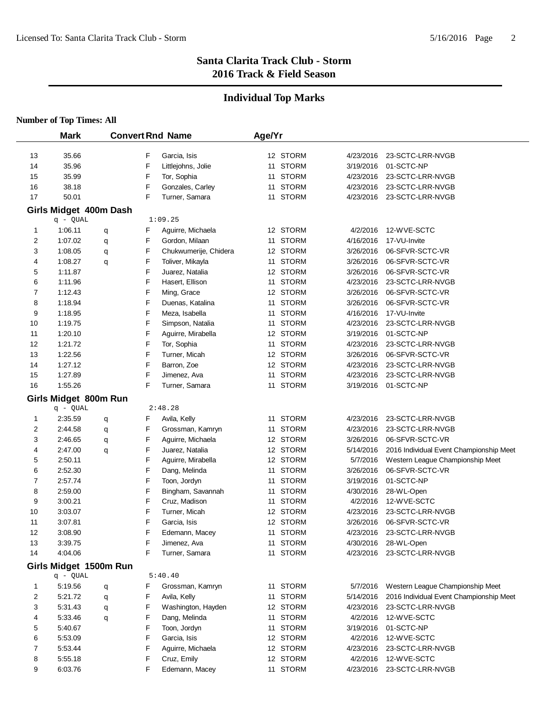# **Individual Top Marks**

|          | <b>Mark</b>        |                        | <b>Convert Rnd Name</b> |                                    |    | Age/Yr               |                        |                                                             |
|----------|--------------------|------------------------|-------------------------|------------------------------------|----|----------------------|------------------------|-------------------------------------------------------------|
|          |                    |                        |                         |                                    |    |                      |                        |                                                             |
| 13       | 35.66              |                        | F                       | Garcia, Isis                       |    | 12 STORM             | 4/23/2016              | 23-SCTC-LRR-NVGB                                            |
| 14       | 35.96              |                        | F                       | Littlejohns, Jolie                 |    | 11 STORM             | 3/19/2016              | 01-SCTC-NP                                                  |
| 15       | 35.99              |                        | F                       | Tor, Sophia                        |    | 11 STORM             | 4/23/2016              | 23-SCTC-LRR-NVGB                                            |
| 16       | 38.18              |                        | F                       | Gonzales, Carley                   |    | 11 STORM             | 4/23/2016              | 23-SCTC-LRR-NVGB                                            |
| 17       | 50.01              |                        | F                       | Turner, Samara                     |    | 11 STORM             | 4/23/2016              | 23-SCTC-LRR-NVGB                                            |
|          |                    | Girls Midget 400m Dash |                         |                                    |    |                      |                        |                                                             |
|          | q - QUAL           |                        |                         | 1:09.25                            |    |                      |                        |                                                             |
| 1        | 1:06.11            | q                      | F                       | Aguirre, Michaela                  |    | 12 STORM             | 4/2/2016               | 12-WVE-SCTC                                                 |
| 2        | 1:07.02            | q                      | F                       | Gordon, Milaan                     |    | 11 STORM             | 4/16/2016              | 17-VU-Invite                                                |
| 3        | 1:08.05            | q                      | F                       | Chukwumerije, Chidera              |    | 12 STORM             | 3/26/2016              | 06-SFVR-SCTC-VR                                             |
| 4        | 1:08.27            | q                      | F                       | Toliver, Mikayla                   | 11 | <b>STORM</b>         | 3/26/2016              | 06-SFVR-SCTC-VR                                             |
| 5        | 1:11.87            |                        | F                       | Juarez, Natalia                    |    | 12 STORM             | 3/26/2016              | 06-SFVR-SCTC-VR                                             |
| 6        | 1:11.96            |                        | F                       | Hasert, Ellison                    |    | 11 STORM             | 4/23/2016              | 23-SCTC-LRR-NVGB                                            |
| 7        | 1:12.43            |                        | F                       | Ming, Grace                        |    | 12 STORM             | 3/26/2016              | 06-SFVR-SCTC-VR                                             |
| 8        | 1:18.94            |                        | F                       | Duenas, Katalina                   |    | 11 STORM             | 3/26/2016              | 06-SFVR-SCTC-VR                                             |
| 9        | 1:18.95            |                        | F                       | Meza, Isabella                     |    | 11 STORM             | 4/16/2016              | 17-VU-Invite                                                |
| 10       | 1:19.75            |                        | F                       | Simpson, Natalia                   |    | 11 STORM             | 4/23/2016              | 23-SCTC-LRR-NVGB                                            |
| 11       | 1:20.10            |                        | F                       | Aguirre, Mirabella                 |    | 12 STORM             | 3/19/2016              | 01-SCTC-NP                                                  |
| 12       | 1:21.72            |                        | F                       | Tor, Sophia                        |    | 11 STORM             | 4/23/2016              | 23-SCTC-LRR-NVGB                                            |
| 13       | 1:22.56            |                        | F                       | Turner, Micah                      |    | 12 STORM             | 3/26/2016              | 06-SFVR-SCTC-VR                                             |
| 14       | 1:27.12            |                        | F                       | Barron, Zoe                        |    | 12 STORM             | 4/23/2016              | 23-SCTC-LRR-NVGB                                            |
| 15       | 1:27.89            |                        | F                       | Jimenez, Ava                       |    | 11 STORM             | 4/23/2016              | 23-SCTC-LRR-NVGB                                            |
| 16       | 1:55.26            |                        | F                       | Turner, Samara                     |    | 11 STORM             | 3/19/2016              | 01-SCTC-NP                                                  |
|          |                    | Girls Midget 800m Run  |                         |                                    |    |                      |                        |                                                             |
|          | q - QUAL           |                        |                         | 2:48.28                            |    |                      |                        |                                                             |
| 1        | 2:35.59            | q                      | F                       | Avila, Kelly                       |    | 11 STORM             | 4/23/2016              | 23-SCTC-LRR-NVGB                                            |
| 2        | 2:44.58            | q                      | F                       | Grossman, Kamryn                   |    | 11 STORM             | 4/23/2016              | 23-SCTC-LRR-NVGB                                            |
| 3        | 2:46.65            | q                      | F                       | Aguirre, Michaela                  |    | 12 STORM             | 3/26/2016              | 06-SFVR-SCTC-VR                                             |
| 4        | 2:47.00            | q                      | F                       | Juarez, Natalia                    |    | 12 STORM             | 5/14/2016              | 2016 Individual Event Championship Meet                     |
| 5        | 2:50.11            |                        | F                       | Aguirre, Mirabella                 |    | 12 STORM             | 5/7/2016               | Western League Championship Meet                            |
| 6        | 2:52.30            |                        | F                       | Dang, Melinda                      |    | 11 STORM             | 3/26/2016              | 06-SFVR-SCTC-VR                                             |
| 7        | 2:57.74            |                        | F                       | Toon, Jordyn                       |    | 11 STORM             | 3/19/2016              | 01-SCTC-NP                                                  |
| 8        | 2:59.00            |                        | F                       | Bingham, Savannah                  | 11 | <b>STORM</b>         | 4/30/2016              | 28-WL-Open                                                  |
| 9        | 3:00.21            |                        | F                       | Cruz, Madison                      | 11 | <b>STORM</b>         | 4/2/2016               | 12-WVE-SCTC                                                 |
| 10       | 3:03.07            |                        | F<br>F                  | Turner, Micah                      |    | 12 STORM<br>12 STORM | 4/23/2016              | 23-SCTC-LRR-NVGB                                            |
| 11       | 3:07.81            |                        | F                       | Garcia, Isis                       |    |                      | 3/26/2016<br>4/23/2016 | 06-SFVR-SCTC-VR                                             |
| 12       | 3:08.90            |                        | F                       | Edemann, Macey                     |    | 11 STORM<br>11 STORM |                        | 23-SCTC-LRR-NVGB<br>28-WL-Open                              |
| 13<br>14 | 3:39.75<br>4:04.06 |                        | F                       | Jimenez, Ava<br>Turner, Samara     |    | 11 STORM             | 4/30/2016<br>4/23/2016 | 23-SCTC-LRR-NVGB                                            |
|          |                    |                        |                         |                                    |    |                      |                        |                                                             |
|          |                    | Girls Midget 1500m Run |                         |                                    |    |                      |                        |                                                             |
|          | q - QUAL           |                        |                         | 5:40.40                            |    |                      |                        |                                                             |
| 1        | 5:19.56            | q                      | F                       | Grossman, Kamryn                   |    | 11 STORM             | 5/7/2016               | Western League Championship Meet                            |
| 2        | 5:21.72            | q                      | F                       | Avila, Kelly<br>Washington, Hayden |    | 11 STORM<br>12 STORM | 5/14/2016              | 2016 Individual Event Championship Meet<br>23-SCTC-LRR-NVGB |
| 3<br>4   | 5:31.43<br>5:33.46 | q                      | F<br>F                  | Dang, Melinda                      |    | 11 STORM             | 4/23/2016<br>4/2/2016  | 12-WVE-SCTC                                                 |
| 5        | 5:40.67            | q                      | F                       | Toon, Jordyn                       |    | 11 STORM             | 3/19/2016              | 01-SCTC-NP                                                  |
| 6        | 5:53.09            |                        | F                       | Garcia, Isis                       |    | 12 STORM             | 4/2/2016               | 12-WVE-SCTC                                                 |
| 7        | 5:53.44            |                        | F                       | Aguirre, Michaela                  |    | 12 STORM             | 4/23/2016              | 23-SCTC-LRR-NVGB                                            |
| 8        | 5:55.18            |                        | F                       | Cruz, Emily                        |    | 12 STORM             | 4/2/2016               | 12-WVE-SCTC                                                 |
| 9        | 6:03.76            |                        | F                       | Edemann, Macey                     |    | 11 STORM             | 4/23/2016              | 23-SCTC-LRR-NVGB                                            |
|          |                    |                        |                         |                                    |    |                      |                        |                                                             |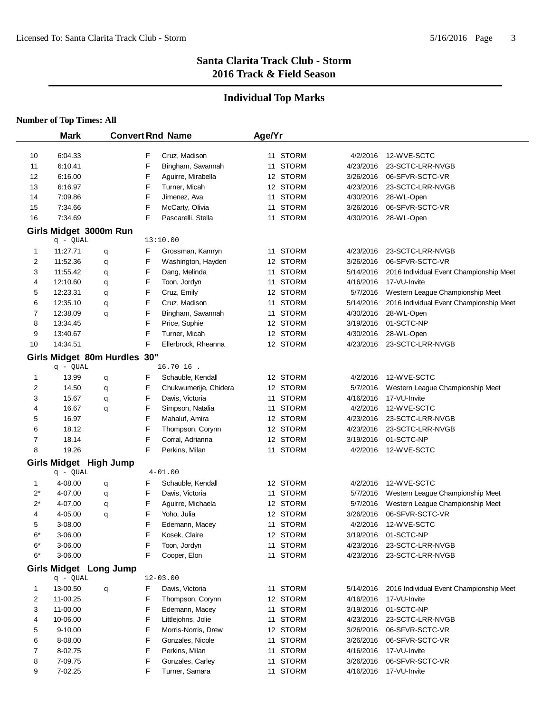# **Individual Top Marks**

|       | <b>Mark</b> |                              | <b>Convert Rnd Name</b>    | Age/Yr |          |           |                                         |
|-------|-------------|------------------------------|----------------------------|--------|----------|-----------|-----------------------------------------|
|       |             |                              |                            |        |          |           |                                         |
| 10    | 6:04.33     |                              | F<br>Cruz, Madison         |        | 11 STORM | 4/2/2016  | 12-WVE-SCTC                             |
| 11    | 6:10.41     |                              | F<br>Bingham, Savannah     |        | 11 STORM | 4/23/2016 | 23-SCTC-LRR-NVGB                        |
| 12    | 6:16.00     |                              | F<br>Aguirre, Mirabella    |        | 12 STORM | 3/26/2016 | 06-SFVR-SCTC-VR                         |
| 13    | 6:16.97     |                              | F<br>Turner, Micah         |        | 12 STORM | 4/23/2016 | 23-SCTC-LRR-NVGB                        |
| 14    | 7:09.86     |                              | F<br>Jimenez, Ava          |        | 11 STORM | 4/30/2016 | 28-WL-Open                              |
| 15    | 7:34.66     |                              | F<br>McCarty, Olivia       |        | 11 STORM | 3/26/2016 | 06-SFVR-SCTC-VR                         |
| 16    | 7:34.69     |                              | F<br>Pascarelli, Stella    |        | 11 STORM | 4/30/2016 | 28-WL-Open                              |
|       |             | Girls Midget 3000m Run       |                            |        |          |           |                                         |
|       | q - QUAL    |                              | 13:10.00                   |        |          |           |                                         |
| 1     | 11:27.71    | q                            | F<br>Grossman, Kamryn      |        | 11 STORM | 4/23/2016 | 23-SCTC-LRR-NVGB                        |
| 2     | 11:52.36    | q                            | F<br>Washington, Hayden    |        | 12 STORM | 3/26/2016 | 06-SFVR-SCTC-VR                         |
| 3     | 11:55.42    | q                            | F<br>Dang, Melinda         |        | 11 STORM | 5/14/2016 | 2016 Individual Event Championship Meet |
| 4     | 12:10.60    | q                            | F<br>Toon, Jordyn          |        | 11 STORM | 4/16/2016 | 17-VU-Invite                            |
| 5     | 12:23.31    | q                            | F<br>Cruz, Emily           |        | 12 STORM | 5/7/2016  | Western League Championship Meet        |
| 6     | 12:35.10    | q                            | F<br>Cruz, Madison         |        | 11 STORM | 5/14/2016 | 2016 Individual Event Championship Meet |
| 7     | 12:38.09    | q                            | F<br>Bingham, Savannah     |        | 11 STORM | 4/30/2016 | 28-WL-Open                              |
| 8     | 13:34.45    |                              | F<br>Price, Sophie         |        | 12 STORM | 3/19/2016 | 01-SCTC-NP                              |
| 9     | 13:40.67    |                              | F<br>Turner, Micah         |        | 12 STORM | 4/30/2016 | 28-WL-Open                              |
| 10    | 14:34.51    |                              | F<br>Ellerbrock, Rheanna   |        | 12 STORM | 4/23/2016 | 23-SCTC-LRR-NVGB                        |
|       |             | Girls Midget 80m Hurdles 30" |                            |        |          |           |                                         |
|       | q - QUAL    |                              | 16.70 16.                  |        |          |           |                                         |
| 1     | 13.99       | q                            | F<br>Schauble, Kendall     |        | 12 STORM | 4/2/2016  | 12-WVE-SCTC                             |
| 2     | 14.50       | q                            | F<br>Chukwumerije, Chidera |        | 12 STORM | 5/7/2016  | Western League Championship Meet        |
| 3     | 15.67       | q                            | F<br>Davis, Victoria       |        | 11 STORM | 4/16/2016 | 17-VU-Invite                            |
| 4     | 16.67       | q                            | F<br>Simpson, Natalia      |        | 11 STORM | 4/2/2016  | 12-WVE-SCTC                             |
| 5     | 16.97       |                              | F<br>Mahaluf, Amira        |        | 12 STORM | 4/23/2016 | 23-SCTC-LRR-NVGB                        |
| 6     | 18.12       |                              | F<br>Thompson, Corynn      |        | 12 STORM | 4/23/2016 | 23-SCTC-LRR-NVGB                        |
| 7     | 18.14       |                              | F<br>Corral, Adrianna      |        | 12 STORM | 3/19/2016 | 01-SCTC-NP                              |
| 8     | 19.26       |                              | F<br>Perkins, Milan        |        | 11 STORM | 4/2/2016  | 12-WVE-SCTC                             |
|       |             | Girls Midget High Jump       |                            |        |          |           |                                         |
|       | q - QUAL    |                              | $4 - 01.00$                |        |          |           |                                         |
| 1     | 4-08.00     | q                            | F<br>Schauble, Kendall     |        | 12 STORM | 4/2/2016  | 12-WVE-SCTC                             |
| $2^*$ | 4-07.00     | q                            | F<br>Davis, Victoria       |        | 11 STORM | 5/7/2016  | Western League Championship Meet        |
| $2^*$ | 4-07.00     | q                            | F<br>Aguirre, Michaela     |        | 12 STORM | 5/7/2016  | Western League Championship Meet        |
| 4     | 4-05.00     | q                            | F<br>Yoho, Julia           |        | 12 STORM | 3/26/2016 | 06-SFVR-SCTC-VR                         |
| 5     | 3-08.00     |                              | F<br>Edemann, Macey        |        | 11 STORM | 4/2/2016  | 12-WVE-SCTC                             |
| 6*    | 3-06.00     |                              | Kosek, Claire              |        | 12 STORM |           | 3/19/2016 01-SCTC-NP                    |
| $6*$  | 3-06.00     |                              | F<br>Toon, Jordyn          |        | 11 STORM |           | 4/23/2016 23-SCTC-LRR-NVGB              |
| $6*$  | 3-06.00     |                              | F<br>Cooper, Elon          |        | 11 STORM |           | 4/23/2016 23-SCTC-LRR-NVGB              |
|       |             | Girls Midget Long Jump       |                            |        |          |           |                                         |
|       | q - QUAL    |                              | $12 - 03.00$               |        |          |           |                                         |
| 1     | 13-00.50    | q                            | F<br>Davis, Victoria       |        | 11 STORM | 5/14/2016 | 2016 Individual Event Championship Meet |
| 2     | 11-00.25    |                              | F<br>Thompson, Corynn      |        | 12 STORM | 4/16/2016 | 17-VU-Invite                            |
| 3     | 11-00.00    |                              | F<br>Edemann, Macey        |        | 11 STORM | 3/19/2016 | 01-SCTC-NP                              |
| 4     | 10-06.00    |                              | F<br>Littlejohns, Jolie    |        | 11 STORM | 4/23/2016 | 23-SCTC-LRR-NVGB                        |
| 5     | 9-10.00     |                              | F<br>Morris-Norris, Drew   |        | 12 STORM | 3/26/2016 | 06-SFVR-SCTC-VR                         |
| 6     | 8-08.00     |                              | F<br>Gonzales, Nicole      |        | 11 STORM | 3/26/2016 | 06-SFVR-SCTC-VR                         |
| 7     | 8-02.75     |                              | F<br>Perkins, Milan        |        | 11 STORM | 4/16/2016 | 17-VU-Invite                            |
| 8     | 7-09.75     |                              | F<br>Gonzales, Carley      |        | 11 STORM | 3/26/2016 | 06-SFVR-SCTC-VR                         |
| 9     | 7-02.25     |                              | Turner, Samara<br>F        |        | 11 STORM | 4/16/2016 | 17-VU-Invite                            |
|       |             |                              |                            |        |          |           |                                         |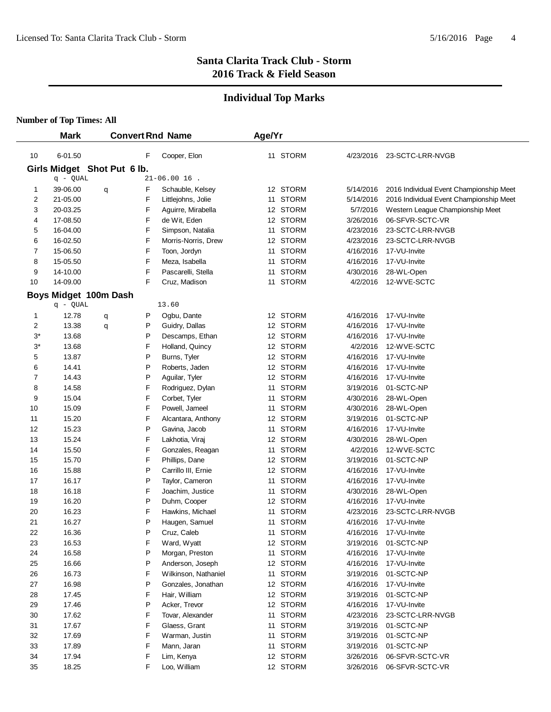# **Individual Top Marks**

|           | <b>Mark</b>                 |   |        | <b>Convert Rnd Name</b>            | Age/Yr |                      |                       |                                         |
|-----------|-----------------------------|---|--------|------------------------------------|--------|----------------------|-----------------------|-----------------------------------------|
|           |                             |   |        |                                    |        |                      |                       |                                         |
| 10        | 6-01.50                     |   | F      | Cooper, Elon                       |        | 11 STORM             | 4/23/2016             | 23-SCTC-LRR-NVGB                        |
|           | Girls Midget Shot Put 6 lb. |   |        |                                    |        |                      |                       |                                         |
|           | q - QUAL                    |   |        | $21 - 06.00$ 16.                   |        |                      |                       |                                         |
| 1         | 39-06.00                    | q | F      | Schauble, Kelsey                   |        | 12 STORM             | 5/14/2016             | 2016 Individual Event Championship Meet |
| 2         | 21-05.00                    |   | F      | Littlejohns, Jolie                 |        | 11 STORM             | 5/14/2016             | 2016 Individual Event Championship Meet |
| 3         | 20-03.25                    |   | F      | Aguirre, Mirabella                 |        | 12 STORM             | 5/7/2016              | Western League Championship Meet        |
| 4         | 17-08.50                    |   | F      | de Wit, Eden                       |        | 12 STORM             | 3/26/2016             | 06-SFVR-SCTC-VR                         |
| 5         | 16-04.00                    |   | F      | Simpson, Natalia                   |        | 11 STORM             | 4/23/2016             | 23-SCTC-LRR-NVGB                        |
| 6         | 16-02.50                    |   | F      | Morris-Norris, Drew                |        | 12 STORM             | 4/23/2016             | 23-SCTC-LRR-NVGB                        |
| 7         | 15-06.50                    |   | F<br>F | Toon, Jordyn                       |        | 11 STORM<br>11 STORM | 4/16/2016             | 17-VU-Invite                            |
| 8         | 15-05.50                    |   | F      | Meza, Isabella                     |        |                      | 4/16/2016             | 17-VU-Invite                            |
| 9         | 14-10.00                    |   | F      | Pascarelli, Stella                 |        | 11 STORM             | 4/30/2016             | 28-WL-Open                              |
| 10        | 14-09.00                    |   |        | Cruz, Madison                      |        | 11 STORM             | 4/2/2016              | 12-WVE-SCTC                             |
|           | Boys Midget 100m Dash       |   |        |                                    |        |                      |                       |                                         |
|           | q - QUAL                    |   |        | 13.60                              |        |                      |                       |                                         |
| 1         | 12.78                       | q | Ρ      | Ogbu, Dante                        |        | 12 STORM             | 4/16/2016             | 17-VU-Invite                            |
| 2         | 13.38                       | q | Ρ      | Guidry, Dallas                     |        | 12 STORM             | 4/16/2016             | 17-VU-Invite                            |
| $3^\star$ | 13.68                       |   | Ρ      | Descamps, Ethan                    |        | 12 STORM             | 4/16/2016             | 17-VU-Invite                            |
| $3^\star$ | 13.68                       |   | F      | Holland, Quincy                    |        | 12 STORM             | 4/2/2016              | 12-WVE-SCTC                             |
| 5         | 13.87                       |   | P      | Burns, Tyler                       |        | 12 STORM             | 4/16/2016             | 17-VU-Invite                            |
| 6         | 14.41                       |   | P      | Roberts, Jaden                     |        | 12 STORM             | 4/16/2016             | 17-VU-Invite                            |
| 7         | 14.43                       |   | P      | Aguilar, Tyler                     |        | 12 STORM             | 4/16/2016             | 17-VU-Invite                            |
| 8         | 14.58                       |   | F      | Rodriguez, Dylan                   |        | 11 STORM             | 3/19/2016             | 01-SCTC-NP                              |
| 9         | 15.04                       |   | F      | Corbet, Tyler                      |        | 11 STORM             | 4/30/2016             | 28-WL-Open                              |
| 10        | 15.09                       |   | F      | Powell, Jameel                     |        | 11 STORM             | 4/30/2016             | 28-WL-Open                              |
| 11        | 15.20                       |   | F      | Alcantara, Anthony                 |        | 12 STORM             | 3/19/2016             | 01-SCTC-NP                              |
| 12        | 15.23                       |   | P      | Gavina, Jacob                      |        | 11 STORM             | 4/16/2016             | 17-VU-Invite                            |
| 13<br>14  | 15.24<br>15.50              |   | F<br>F | Lakhotia, Viraj                    |        | 12 STORM<br>11 STORM | 4/30/2016<br>4/2/2016 | 28-WL-Open<br>12-WVE-SCTC               |
|           | 15.70                       |   | F      | Gonzales, Reagan<br>Phillips, Dane |        | 12 STORM             | 3/19/2016             | 01-SCTC-NP                              |
| 15<br>16  | 15.88                       |   | Ρ      | Carrillo III, Ernie                |        | 12 STORM             | 4/16/2016             | 17-VU-Invite                            |
| 17        | 16.17                       |   | Ρ      | Taylor, Cameron                    |        | 11 STORM             | 4/16/2016             | 17-VU-Invite                            |
| 18        | 16.18                       |   | F      | Joachim, Justice                   | 11     | <b>STORM</b>         | 4/30/2016             | 28-WL-Open                              |
| 19        | 16.20                       |   | P      | Duhm, Cooper                       |        | 12 STORM             | 4/16/2016             | 17-VU-Invite                            |
| 20        | 16.23                       |   | F      | Hawkins, Michael                   |        | 11 STORM             | 4/23/2016             | 23-SCTC-LRR-NVGB                        |
| 21        | 16.27                       |   | P      | Haugen, Samuel                     |        | 11 STORM             | 4/16/2016             | 17-VU-Invite                            |
| 22        | 16.36                       |   | P      | Cruz, Caleb                        |        | 11 STORM             | 4/16/2016             | 17-VU-Invite                            |
| 23        | 16.53                       |   | F      | Ward, Wyatt                        |        | 12 STORM             | 3/19/2016             | 01-SCTC-NP                              |
| 24        | 16.58                       |   | P      | Morgan, Preston                    |        | 11 STORM             | 4/16/2016             | 17-VU-Invite                            |
| 25        | 16.66                       |   | Ρ      | Anderson, Joseph                   |        | 12 STORM             | 4/16/2016             | 17-VU-Invite                            |
| 26        | 16.73                       |   | F      | Wilkinson, Nathaniel               |        | 11 STORM             | 3/19/2016             | 01-SCTC-NP                              |
| 27        | 16.98                       |   | Ρ      | Gonzales, Jonathan                 |        | 12 STORM             | 4/16/2016             | 17-VU-Invite                            |
| 28        | 17.45                       |   | F      | Hair, William                      |        | 12 STORM             | 3/19/2016             | 01-SCTC-NP                              |
| 29        | 17.46                       |   | P      | Acker, Trevor                      |        | 12 STORM             | 4/16/2016             | 17-VU-Invite                            |
| 30        | 17.62                       |   | F      | Tovar, Alexander                   |        | 11 STORM             | 4/23/2016             | 23-SCTC-LRR-NVGB                        |
| 31        | 17.67                       |   | F      | Glaess, Grant                      |        | 11 STORM             | 3/19/2016             | 01-SCTC-NP                              |
| 32        | 17.69                       |   | F      | Warman, Justin                     |        | 11 STORM             | 3/19/2016             | 01-SCTC-NP                              |
| 33        | 17.89                       |   | F      | Mann, Jaran                        |        | 11 STORM             | 3/19/2016             | 01-SCTC-NP                              |
| 34        | 17.94                       |   | F      | Lim, Kenya                         |        | 12 STORM             | 3/26/2016             | 06-SFVR-SCTC-VR                         |
| 35        | 18.25                       |   | F      | Loo, William                       |        | 12 STORM             | 3/26/2016             | 06-SFVR-SCTC-VR                         |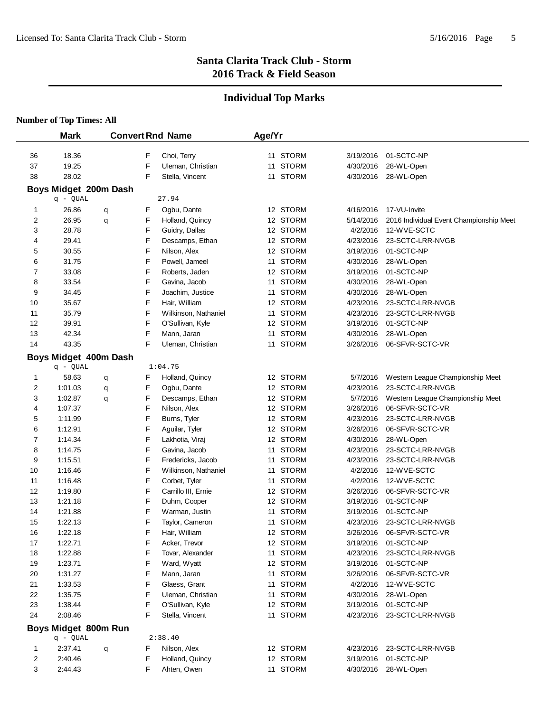# **Individual Top Marks**

|          | <b>Mark</b>           |   |        | <b>Convert Rnd Name</b>           | Age/Yr |                      |                        |                                         |
|----------|-----------------------|---|--------|-----------------------------------|--------|----------------------|------------------------|-----------------------------------------|
| 36       | 18.36                 |   | F      | Choi, Terry                       |        | 11 STORM             | 3/19/2016              | 01-SCTC-NP                              |
| 37       | 19.25                 |   | F      | Uleman, Christian                 |        | 11 STORM             | 4/30/2016              | 28-WL-Open                              |
| 38       | 28.02                 |   | F      | Stella, Vincent                   |        | 11 STORM             | 4/30/2016              | 28-WL-Open                              |
|          | Boys Midget 200m Dash |   |        |                                   |        |                      |                        |                                         |
|          | q - QUAL              |   |        | 27.94                             |        |                      |                        |                                         |
| 1        | 26.86                 | q | F      | Ogbu, Dante                       |        | 12 STORM             | 4/16/2016              | 17-VU-Invite                            |
| 2        | 26.95                 | q | F      | Holland, Quincy                   |        | 12 STORM             | 5/14/2016              | 2016 Individual Event Championship Meet |
| 3        | 28.78                 |   | F      | Guidry, Dallas                    |        | 12 STORM             | 4/2/2016               | 12-WVE-SCTC                             |
| 4        | 29.41                 |   | F      | Descamps, Ethan                   |        | 12 STORM             | 4/23/2016              | 23-SCTC-LRR-NVGB                        |
| 5        | 30.55                 |   | F      | Nilson, Alex                      |        | 12 STORM             | 3/19/2016              | 01-SCTC-NP                              |
| 6        | 31.75                 |   | F      | Powell, Jameel                    |        | 11 STORM             | 4/30/2016              | 28-WL-Open                              |
| 7        | 33.08                 |   | F      | Roberts, Jaden                    |        | 12 STORM             | 3/19/2016              | 01-SCTC-NP                              |
| 8        | 33.54                 |   | F      | Gavina, Jacob                     |        | 11 STORM             | 4/30/2016              | 28-WL-Open                              |
| 9        | 34.45                 |   | F      | Joachim, Justice                  |        | 11 STORM             | 4/30/2016              | 28-WL-Open                              |
| 10       | 35.67                 |   | F      | Hair, William                     |        | 12 STORM             | 4/23/2016              | 23-SCTC-LRR-NVGB                        |
| 11       | 35.79                 |   | F      | Wilkinson, Nathaniel              |        | 11 STORM             | 4/23/2016              | 23-SCTC-LRR-NVGB                        |
| 12       | 39.91                 |   | F      | O'Sullivan, Kyle                  |        | 12 STORM             | 3/19/2016              | 01-SCTC-NP                              |
| 13       | 42.34                 |   | F      | Mann, Jaran                       |        | 11 STORM             | 4/30/2016              | 28-WL-Open                              |
| 14       | 43.35                 |   | F      | Uleman, Christian                 |        | 11 STORM             | 3/26/2016              | 06-SFVR-SCTC-VR                         |
|          | Boys Midget 400m Dash |   |        |                                   |        |                      |                        |                                         |
|          | q - QUAL              |   |        | 1:04.75                           |        |                      |                        |                                         |
| 1        | 58.63                 | q | F      | Holland, Quincy                   |        | 12 STORM             | 5/7/2016               | Western League Championship Meet        |
| 2        | 1:01.03               | q | F      | Ogbu, Dante                       |        | 12 STORM             | 4/23/2016              | 23-SCTC-LRR-NVGB                        |
| 3        | 1:02.87               | q | F      | Descamps, Ethan                   |        | 12 STORM             | 5/7/2016               | Western League Championship Meet        |
| 4        | 1:07.37               |   | F      | Nilson, Alex                      |        | 12 STORM             | 3/26/2016              | 06-SFVR-SCTC-VR                         |
| 5        | 1:11.99               |   | F      | Burns, Tyler                      |        | 12 STORM             | 4/23/2016              | 23-SCTC-LRR-NVGB                        |
| 6        | 1:12.91               |   | F      | Aguilar, Tyler                    |        | 12 STORM             | 3/26/2016              | 06-SFVR-SCTC-VR                         |
| 7        | 1:14.34               |   | F      | Lakhotia, Viraj                   |        | 12 STORM             | 4/30/2016              | 28-WL-Open                              |
| 8        | 1:14.75               |   | F      | Gavina, Jacob                     |        | 11 STORM             | 4/23/2016              | 23-SCTC-LRR-NVGB                        |
| 9        | 1:15.51               |   | F      | Fredericks, Jacob                 | 11     | STORM                | 4/23/2016              | 23-SCTC-LRR-NVGB                        |
| 10       | 1:16.46               |   | F      | Wilkinson, Nathaniel              |        | 11 STORM             | 4/2/2016               | 12-WVE-SCTC                             |
| 11       | 1:16.48               |   | F      | Corbet, Tyler                     |        | 11 STORM             | 4/2/2016               | 12-WVE-SCTC                             |
| 12       | 1:19.80               |   | F<br>F | Carrillo III, Ernie               |        | 12 STORM<br>12 STORM | 3/26/2016              | 06-SFVR-SCTC-VR<br>01-SCTC-NP           |
| 13       | 1:21.18<br>1:21.88    |   | F      | Duhm, Cooper                      |        | 11 STORM             | 3/19/2016<br>3/19/2016 | 01-SCTC-NP                              |
| 14<br>15 | 1:22.13               |   | F      | Warman, Justin<br>Taylor, Cameron |        | 11 STORM             | 4/23/2016              | 23-SCTC-LRR-NVGB                        |
| 16       | 1:22.18               |   | F      | Hair, William                     |        | 12 STORM             | 3/26/2016              | 06-SFVR-SCTC-VR                         |
| 17       | 1:22.71               |   | F      | Acker, Trevor                     |        | 12 STORM             | 3/19/2016              | 01-SCTC-NP                              |
| 18       | 1:22.88               |   | F      | Tovar, Alexander                  |        | 11 STORM             | 4/23/2016              | 23-SCTC-LRR-NVGB                        |
| 19       | 1:23.71               |   | F      | Ward, Wyatt                       |        | 12 STORM             | 3/19/2016              | 01-SCTC-NP                              |
| 20       | 1:31.27               |   | F      | Mann, Jaran                       |        | 11 STORM             | 3/26/2016              | 06-SFVR-SCTC-VR                         |
| 21       | 1:33.53               |   | F      | Glaess, Grant                     |        | 11 STORM             | 4/2/2016               | 12-WVE-SCTC                             |
| 22       | 1:35.75               |   | F      | Uleman, Christian                 |        | 11 STORM             | 4/30/2016              | 28-WL-Open                              |
| 23       | 1:38.44               |   | F      | O'Sullivan, Kyle                  |        | 12 STORM             | 3/19/2016              | 01-SCTC-NP                              |
| 24       | 2:08.46               |   | F      | Stella, Vincent                   |        | 11 STORM             | 4/23/2016              | 23-SCTC-LRR-NVGB                        |
|          | Boys Midget 800m Run  |   |        |                                   |        |                      |                        |                                         |
|          | q - QUAL              |   |        | 2:38.40                           |        |                      |                        |                                         |
| 1        | 2:37.41               | q | F      | Nilson, Alex                      |        | 12 STORM             | 4/23/2016              | 23-SCTC-LRR-NVGB                        |
| 2        | 2:40.46               |   | F      | Holland, Quincy                   |        | 12 STORM             | 3/19/2016              | 01-SCTC-NP                              |
| 3        | 2:44.43               |   | F      | Ahten, Owen                       |        | 11 STORM             | 4/30/2016              | 28-WL-Open                              |
|          |                       |   |        |                                   |        |                      |                        |                                         |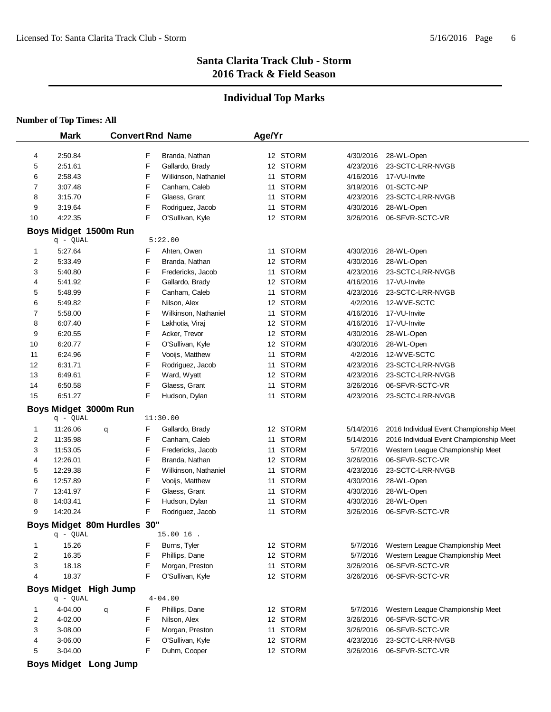### **Individual Top Marks**

#### **Number of Top Times: All**

|    | <b>Mark</b>                       |        | <b>Convert Rnd Name</b> | Age/Yr |          |           |                                         |
|----|-----------------------------------|--------|-------------------------|--------|----------|-----------|-----------------------------------------|
|    |                                   |        |                         |        |          |           |                                         |
| 4  | 2:50.84                           | F      | Branda, Nathan          |        | 12 STORM | 4/30/2016 | 28-WL-Open                              |
| 5  | 2:51.61                           | F      | Gallardo, Brady         |        | 12 STORM | 4/23/2016 | 23-SCTC-LRR-NVGB                        |
| 6  | 2:58.43                           | F      | Wilkinson, Nathaniel    |        | 11 STORM | 4/16/2016 | 17-VU-Invite                            |
| 7  | 3:07.48                           | F      | Canham, Caleb           |        | 11 STORM | 3/19/2016 | 01-SCTC-NP                              |
| 8  | 3:15.70                           | F      | Glaess, Grant           |        | 11 STORM | 4/23/2016 | 23-SCTC-LRR-NVGB                        |
| 9  | 3:19.64                           | F      | Rodriguez, Jacob        |        | 11 STORM | 4/30/2016 | 28-WL-Open                              |
| 10 | 4:22.35                           | F      | O'Sullivan, Kyle        |        | 12 STORM | 3/26/2016 | 06-SFVR-SCTC-VR                         |
|    | Boys Midget 1500m Run             |        |                         |        |          |           |                                         |
|    | q - QUAL                          |        | 5:22.00                 |        |          |           |                                         |
| 1  | 5:27.64                           | F      | Ahten, Owen             |        | 11 STORM | 4/30/2016 | 28-WL-Open                              |
| 2  | 5:33.49                           | F      | Branda, Nathan          |        | 12 STORM | 4/30/2016 | 28-WL-Open                              |
| 3  | 5:40.80                           | F      | Fredericks, Jacob       |        | 11 STORM | 4/23/2016 | 23-SCTC-LRR-NVGB                        |
| 4  | 5:41.92                           | F      | Gallardo, Brady         |        | 12 STORM | 4/16/2016 | 17-VU-Invite                            |
| 5  | 5:48.99                           | F      | Canham, Caleb           |        | 11 STORM | 4/23/2016 | 23-SCTC-LRR-NVGB                        |
| 6  | 5:49.82                           | F      | Nilson, Alex            |        | 12 STORM | 4/2/2016  | 12-WVE-SCTC                             |
| 7  | 5:58.00                           | F      | Wilkinson, Nathaniel    |        | 11 STORM | 4/16/2016 | 17-VU-Invite                            |
| 8  | 6:07.40                           | F      | Lakhotia, Viraj         |        | 12 STORM | 4/16/2016 | 17-VU-Invite                            |
| 9  | 6:20.55                           | F      | Acker, Trevor           |        | 12 STORM | 4/30/2016 | 28-WL-Open                              |
| 10 | 6:20.77                           | F      | O'Sullivan, Kyle        |        | 12 STORM | 4/30/2016 | 28-WL-Open                              |
| 11 | 6:24.96                           | F      | Vooijs, Matthew         |        | 11 STORM | 4/2/2016  | 12-WVE-SCTC                             |
| 12 | 6:31.71                           | F      | Rodriguez, Jacob        |        | 11 STORM | 4/23/2016 | 23-SCTC-LRR-NVGB                        |
| 13 | 6:49.61                           | F      | Ward, Wyatt             |        | 12 STORM | 4/23/2016 | 23-SCTC-LRR-NVGB                        |
| 14 | 6:50.58                           | F      | Glaess, Grant           |        | 11 STORM | 3/26/2016 | 06-SFVR-SCTC-VR                         |
| 15 | 6:51.27                           | F      | Hudson, Dylan           |        | 11 STORM | 4/23/2016 | 23-SCTC-LRR-NVGB                        |
|    | Boys Midget 3000m Run             |        |                         |        |          |           |                                         |
|    | q - QUAL                          |        | 11:30.00                |        |          |           |                                         |
| 1  | 11:26.06                          | F<br>q | Gallardo, Brady         |        | 12 STORM | 5/14/2016 | 2016 Individual Event Championship Meet |
| 2  | 11:35.98                          | F      | Canham, Caleb           |        | 11 STORM | 5/14/2016 | 2016 Individual Event Championship Meet |
| 3  | 11:53.05                          | F      | Fredericks, Jacob       |        | 11 STORM | 5/7/2016  | Western League Championship Meet        |
| 4  | 12:26.01                          | F      | Branda, Nathan          |        | 12 STORM | 3/26/2016 | 06-SFVR-SCTC-VR                         |
| 5  | 12:29.38                          | F      | Wilkinson, Nathaniel    |        | 11 STORM | 4/23/2016 | 23-SCTC-LRR-NVGB                        |
| 6  | 12:57.89                          | F      | Vooijs, Matthew         |        | 11 STORM | 4/30/2016 | 28-WL-Open                              |
| 7  | 13:41.97                          | F      | Glaess, Grant           |        | 11 STORM | 4/30/2016 | 28-WL-Open                              |
| 8  | 14:03.41                          | F      | Hudson, Dylan           |        | 11 STORM | 4/30/2016 | 28-WL-Open                              |
| 9  | 14:20.24                          | F      | Rodriguez, Jacob        |        | 11 STORM | 3/26/2016 | 06-SFVR-SCTC-VR                         |
|    | Boys Midget 80m Hurdles 30"       |        |                         |        |          |           |                                         |
|    | q - QUAL                          |        | 15.00 16                |        |          |           |                                         |
| 1  | 15.26                             | F      | Burns, Tyler            |        | 12 STORM | 5/7/2016  | Western League Championship Meet        |
| 2  | 16.35                             | F      | Phillips, Dane          |        | 12 STORM | 5/7/2016  | Western League Championship Meet        |
| 3  | 18.18                             | F      | Morgan, Preston         |        | 11 STORM | 3/26/2016 | 06-SFVR-SCTC-VR                         |
| 4  | 18.37                             | F      | O'Sullivan, Kyle        |        | 12 STORM | 3/26/2016 | 06-SFVR-SCTC-VR                         |
|    |                                   |        |                         |        |          |           |                                         |
|    | Boys Midget High Jump<br>q - QUAL |        | $4 - 04.00$             |        |          |           |                                         |
| 1  | 4-04.00                           | F      | Phillips, Dane          |        | 12 STORM | 5/7/2016  | Western League Championship Meet        |
| 2  |                                   | q<br>F | Nilson, Alex            |        | 12 STORM | 3/26/2016 | 06-SFVR-SCTC-VR                         |
|    | 4-02.00                           | F      |                         |        | 11 STORM | 3/26/2016 | 06-SFVR-SCTC-VR                         |
| 3  | 3-08.00                           | F      | Morgan, Preston         |        |          | 4/23/2016 | 23-SCTC-LRR-NVGB                        |
| 4  | 3-06.00                           | F      | O'Sullivan, Kyle        |        | 12 STORM |           |                                         |
| 5  | 3-04.00                           |        | Duhm, Cooper            |        | 12 STORM | 3/26/2016 | 06-SFVR-SCTC-VR                         |

**Boys Midget Long Jump**